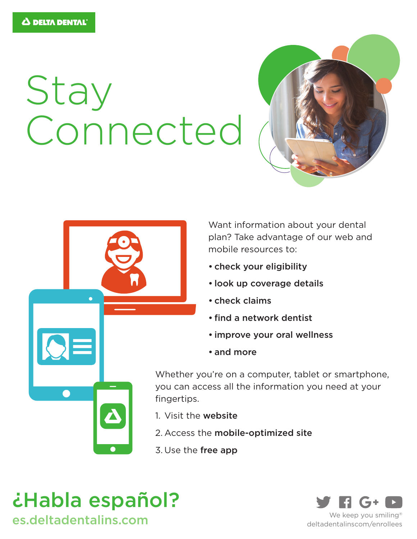# Stay Connected





Want information about your dental plan? Take advantage of our web and mobile resources to:

- check your eligibility
- look up coverage details
- check claims
- find a network dentist
- improve your oral wellness
- and more

Whether you're on a computer, tablet or smartphone, you can access all the information you need at your fingertips.

- 1. Visit the website
- 2. Access the mobile-optimized site
- 3. Use the free app



es.deltadentalins.com We keep you smiling®



deltadentalinscom/enrollees